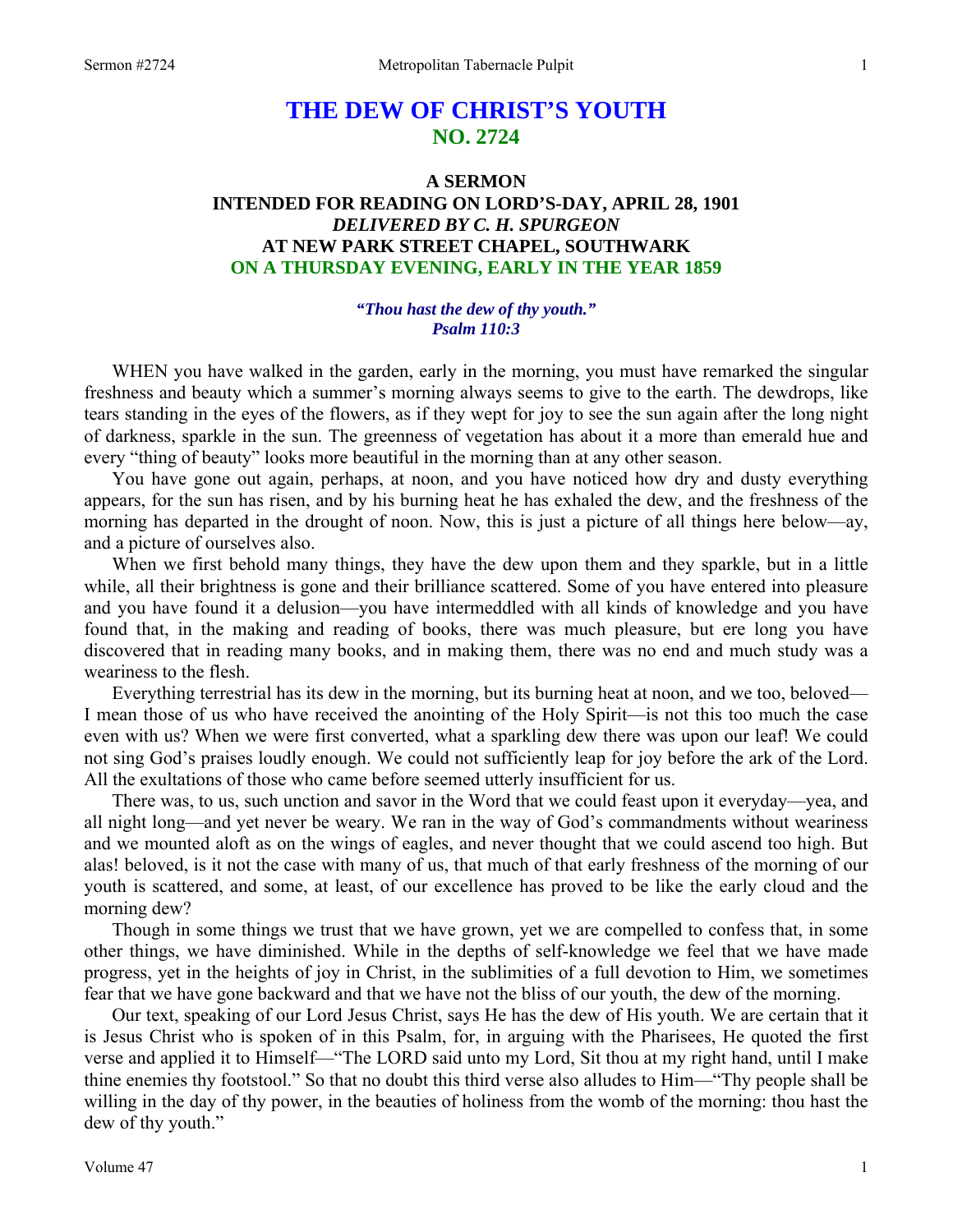## **THE DEW OF CHRIST'S YOUTH NO. 2724**

## **A SERMON INTENDED FOR READING ON LORD'S-DAY, APRIL 28, 1901**  *DELIVERED BY C. H. SPURGEON*  **AT NEW PARK STREET CHAPEL, SOUTHWARK ON A THURSDAY EVENING, EARLY IN THE YEAR 1859**

## *"Thou hast the dew of thy youth." Psalm 110:3*

WHEN you have walked in the garden, early in the morning, you must have remarked the singular freshness and beauty which a summer's morning always seems to give to the earth. The dewdrops, like tears standing in the eyes of the flowers, as if they wept for joy to see the sun again after the long night of darkness, sparkle in the sun. The greenness of vegetation has about it a more than emerald hue and every "thing of beauty" looks more beautiful in the morning than at any other season.

 You have gone out again, perhaps, at noon, and you have noticed how dry and dusty everything appears, for the sun has risen, and by his burning heat he has exhaled the dew, and the freshness of the morning has departed in the drought of noon. Now, this is just a picture of all things here below—ay, and a picture of ourselves also.

 When we first behold many things, they have the dew upon them and they sparkle, but in a little while, all their brightness is gone and their brilliance scattered. Some of you have entered into pleasure and you have found it a delusion—you have intermeddled with all kinds of knowledge and you have found that, in the making and reading of books, there was much pleasure, but ere long you have discovered that in reading many books, and in making them, there was no end and much study was a weariness to the flesh.

 Everything terrestrial has its dew in the morning, but its burning heat at noon, and we too, beloved— I mean those of us who have received the anointing of the Holy Spirit—is not this too much the case even with us? When we were first converted, what a sparkling dew there was upon our leaf! We could not sing God's praises loudly enough. We could not sufficiently leap for joy before the ark of the Lord. All the exultations of those who came before seemed utterly insufficient for us.

 There was, to us, such unction and savor in the Word that we could feast upon it everyday—yea, and all night long—and yet never be weary. We ran in the way of God's commandments without weariness and we mounted aloft as on the wings of eagles, and never thought that we could ascend too high. But alas! beloved, is it not the case with many of us, that much of that early freshness of the morning of our youth is scattered, and some, at least, of our excellence has proved to be like the early cloud and the morning dew?

 Though in some things we trust that we have grown, yet we are compelled to confess that, in some other things, we have diminished. While in the depths of self-knowledge we feel that we have made progress, yet in the heights of joy in Christ, in the sublimities of a full devotion to Him, we sometimes fear that we have gone backward and that we have not the bliss of our youth, the dew of the morning.

 Our text, speaking of our Lord Jesus Christ, says He has the dew of His youth. We are certain that it is Jesus Christ who is spoken of in this Psalm, for, in arguing with the Pharisees, He quoted the first verse and applied it to Himself—"The LORD said unto my Lord, Sit thou at my right hand, until I make thine enemies thy footstool." So that no doubt this third verse also alludes to Him—"Thy people shall be willing in the day of thy power, in the beauties of holiness from the womb of the morning: thou hast the dew of thy youth."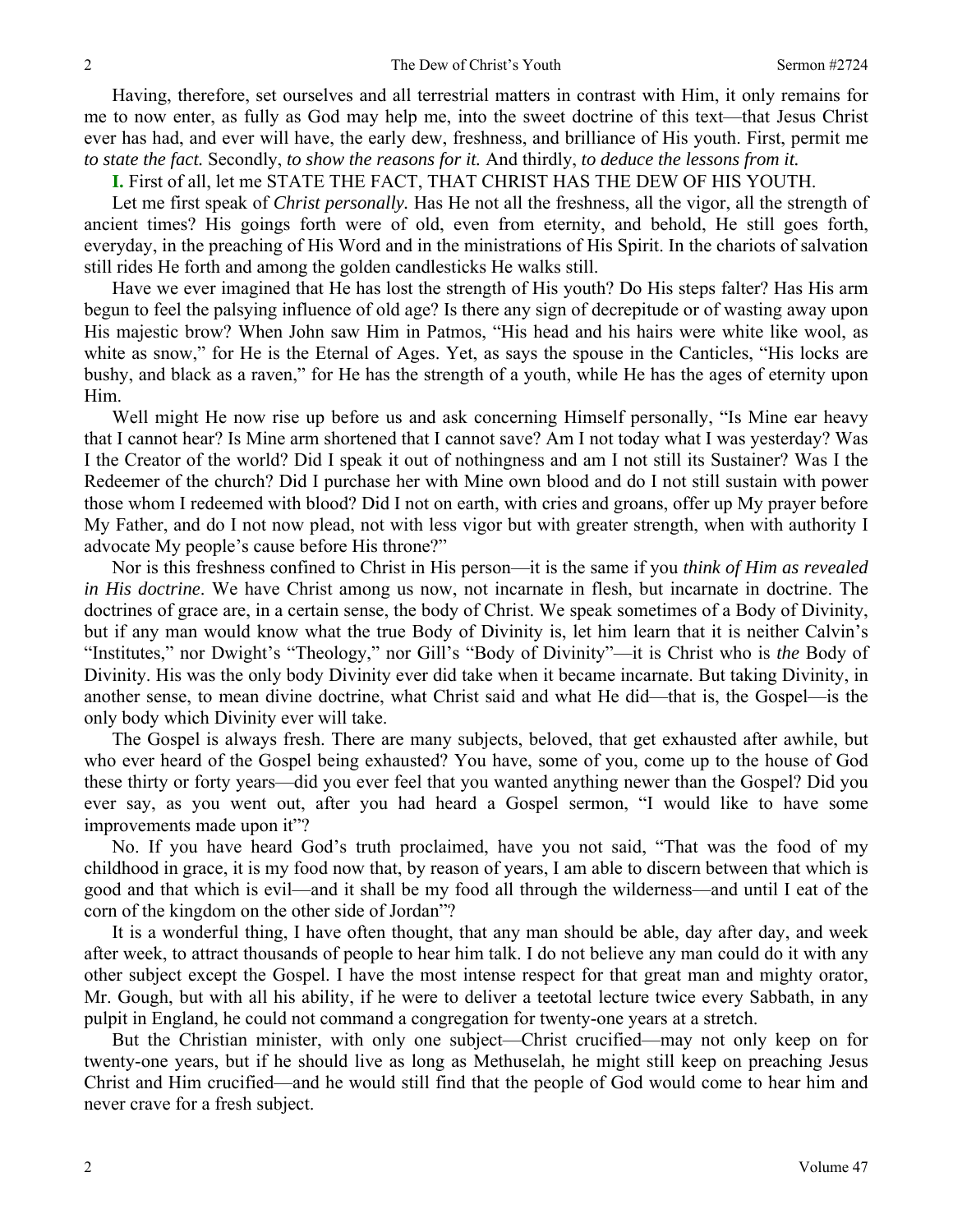Having, therefore, set ourselves and all terrestrial matters in contrast with Him, it only remains for me to now enter, as fully as God may help me, into the sweet doctrine of this text—that Jesus Christ ever has had, and ever will have, the early dew, freshness, and brilliance of His youth. First, permit me *to state the fact.* Secondly, *to show the reasons for it.* And thirdly, *to deduce the lessons from it.* 

**I.** First of all, let me STATE THE FACT, THAT CHRIST HAS THE DEW OF HIS YOUTH.

 Let me first speak of *Christ personally.* Has He not all the freshness, all the vigor, all the strength of ancient times? His goings forth were of old, even from eternity, and behold, He still goes forth, everyday, in the preaching of His Word and in the ministrations of His Spirit. In the chariots of salvation still rides He forth and among the golden candlesticks He walks still.

 Have we ever imagined that He has lost the strength of His youth? Do His steps falter? Has His arm begun to feel the palsying influence of old age? Is there any sign of decrepitude or of wasting away upon His majestic brow? When John saw Him in Patmos, "His head and his hairs were white like wool, as white as snow," for He is the Eternal of Ages. Yet, as says the spouse in the Canticles, "His locks are bushy, and black as a raven," for He has the strength of a youth, while He has the ages of eternity upon Him.

 Well might He now rise up before us and ask concerning Himself personally, "Is Mine ear heavy that I cannot hear? Is Mine arm shortened that I cannot save? Am I not today what I was yesterday? Was I the Creator of the world? Did I speak it out of nothingness and am I not still its Sustainer? Was I the Redeemer of the church? Did I purchase her with Mine own blood and do I not still sustain with power those whom I redeemed with blood? Did I not on earth, with cries and groans, offer up My prayer before My Father, and do I not now plead, not with less vigor but with greater strength, when with authority I advocate My people's cause before His throne?"

 Nor is this freshness confined to Christ in His person—it is the same if you *think of Him as revealed in His doctrine*. We have Christ among us now, not incarnate in flesh, but incarnate in doctrine. The doctrines of grace are, in a certain sense, the body of Christ. We speak sometimes of a Body of Divinity, but if any man would know what the true Body of Divinity is, let him learn that it is neither Calvin's "Institutes," nor Dwight's "Theology," nor Gill's "Body of Divinity"—it is Christ who is *the* Body of Divinity. His was the only body Divinity ever did take when it became incarnate. But taking Divinity, in another sense, to mean divine doctrine, what Christ said and what He did—that is, the Gospel—is the only body which Divinity ever will take.

 The Gospel is always fresh. There are many subjects, beloved, that get exhausted after awhile, but who ever heard of the Gospel being exhausted? You have, some of you, come up to the house of God these thirty or forty years—did you ever feel that you wanted anything newer than the Gospel? Did you ever say, as you went out, after you had heard a Gospel sermon, "I would like to have some improvements made upon it"?

 No. If you have heard God's truth proclaimed, have you not said, "That was the food of my childhood in grace, it is my food now that, by reason of years, I am able to discern between that which is good and that which is evil—and it shall be my food all through the wilderness—and until I eat of the corn of the kingdom on the other side of Jordan"?

 It is a wonderful thing, I have often thought, that any man should be able, day after day, and week after week, to attract thousands of people to hear him talk. I do not believe any man could do it with any other subject except the Gospel. I have the most intense respect for that great man and mighty orator, Mr. Gough, but with all his ability, if he were to deliver a teetotal lecture twice every Sabbath, in any pulpit in England, he could not command a congregation for twenty-one years at a stretch.

 But the Christian minister, with only one subject—Christ crucified—may not only keep on for twenty-one years, but if he should live as long as Methuselah, he might still keep on preaching Jesus Christ and Him crucified—and he would still find that the people of God would come to hear him and never crave for a fresh subject.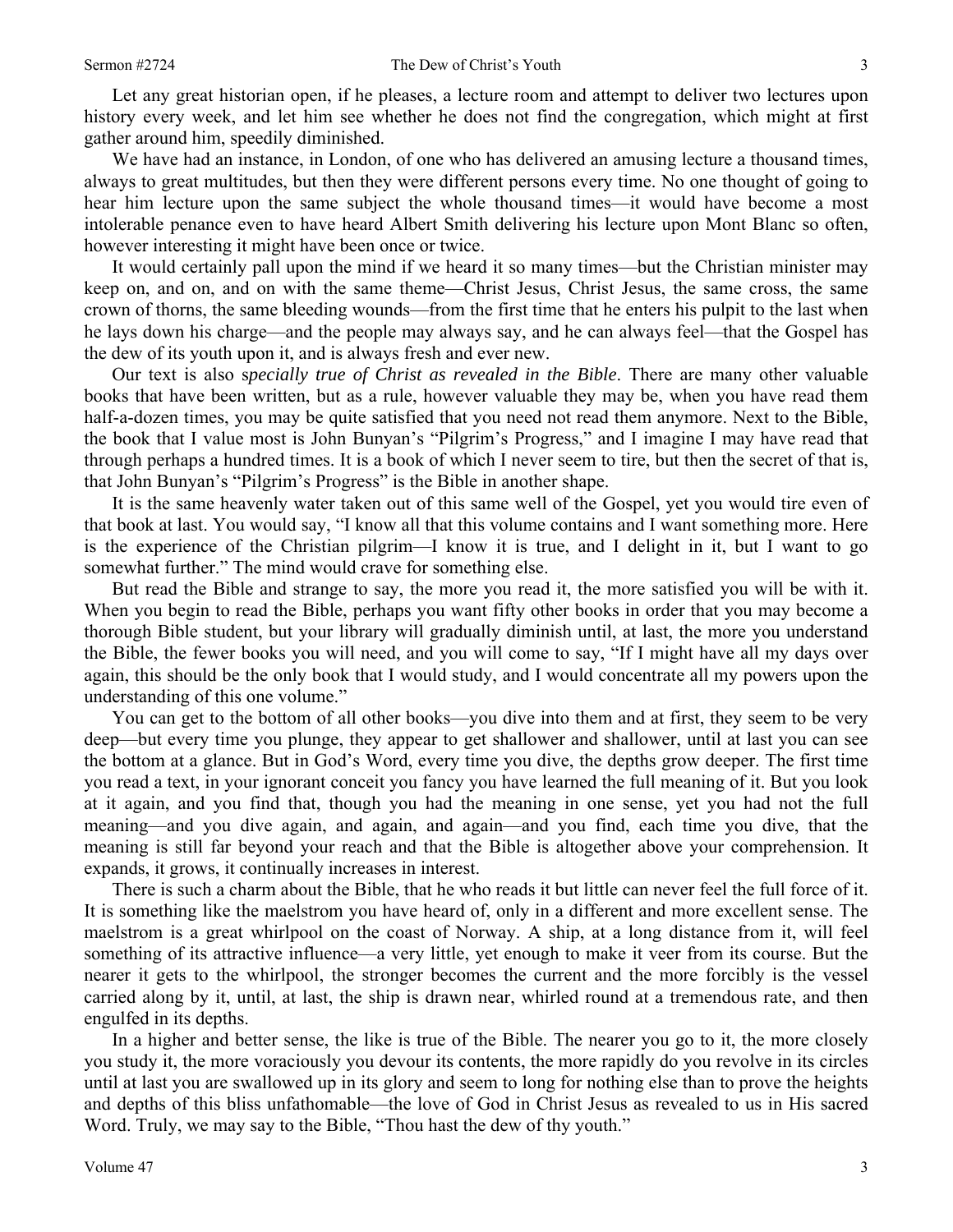Let any great historian open, if he pleases, a lecture room and attempt to deliver two lectures upon history every week, and let him see whether he does not find the congregation, which might at first gather around him, speedily diminished.

 We have had an instance, in London, of one who has delivered an amusing lecture a thousand times, always to great multitudes, but then they were different persons every time. No one thought of going to hear him lecture upon the same subject the whole thousand times—it would have become a most intolerable penance even to have heard Albert Smith delivering his lecture upon Mont Blanc so often, however interesting it might have been once or twice.

 It would certainly pall upon the mind if we heard it so many times—but the Christian minister may keep on, and on, and on with the same theme—Christ Jesus, Christ Jesus, the same cross, the same crown of thorns, the same bleeding wounds—from the first time that he enters his pulpit to the last when he lays down his charge—and the people may always say, and he can always feel—that the Gospel has the dew of its youth upon it, and is always fresh and ever new.

 Our text is also s*pecially true of Christ as revealed in the Bible*. There are many other valuable books that have been written, but as a rule, however valuable they may be, when you have read them half-a-dozen times, you may be quite satisfied that you need not read them anymore. Next to the Bible, the book that I value most is John Bunyan's "Pilgrim's Progress," and I imagine I may have read that through perhaps a hundred times. It is a book of which I never seem to tire, but then the secret of that is, that John Bunyan's "Pilgrim's Progress" is the Bible in another shape.

 It is the same heavenly water taken out of this same well of the Gospel, yet you would tire even of that book at last. You would say, "I know all that this volume contains and I want something more. Here is the experience of the Christian pilgrim—I know it is true, and I delight in it, but I want to go somewhat further." The mind would crave for something else.

 But read the Bible and strange to say, the more you read it, the more satisfied you will be with it. When you begin to read the Bible, perhaps you want fifty other books in order that you may become a thorough Bible student, but your library will gradually diminish until, at last, the more you understand the Bible, the fewer books you will need, and you will come to say, "If I might have all my days over again, this should be the only book that I would study, and I would concentrate all my powers upon the understanding of this one volume."

 You can get to the bottom of all other books—you dive into them and at first, they seem to be very deep—but every time you plunge, they appear to get shallower and shallower, until at last you can see the bottom at a glance. But in God's Word, every time you dive, the depths grow deeper. The first time you read a text, in your ignorant conceit you fancy you have learned the full meaning of it. But you look at it again, and you find that, though you had the meaning in one sense, yet you had not the full meaning—and you dive again, and again, and again—and you find, each time you dive, that the meaning is still far beyond your reach and that the Bible is altogether above your comprehension. It expands, it grows, it continually increases in interest.

 There is such a charm about the Bible, that he who reads it but little can never feel the full force of it. It is something like the maelstrom you have heard of, only in a different and more excellent sense. The maelstrom is a great whirlpool on the coast of Norway. A ship, at a long distance from it, will feel something of its attractive influence—a very little, yet enough to make it veer from its course. But the nearer it gets to the whirlpool, the stronger becomes the current and the more forcibly is the vessel carried along by it, until, at last, the ship is drawn near, whirled round at a tremendous rate, and then engulfed in its depths.

 In a higher and better sense, the like is true of the Bible. The nearer you go to it, the more closely you study it, the more voraciously you devour its contents, the more rapidly do you revolve in its circles until at last you are swallowed up in its glory and seem to long for nothing else than to prove the heights and depths of this bliss unfathomable—the love of God in Christ Jesus as revealed to us in His sacred Word. Truly, we may say to the Bible, "Thou hast the dew of thy youth."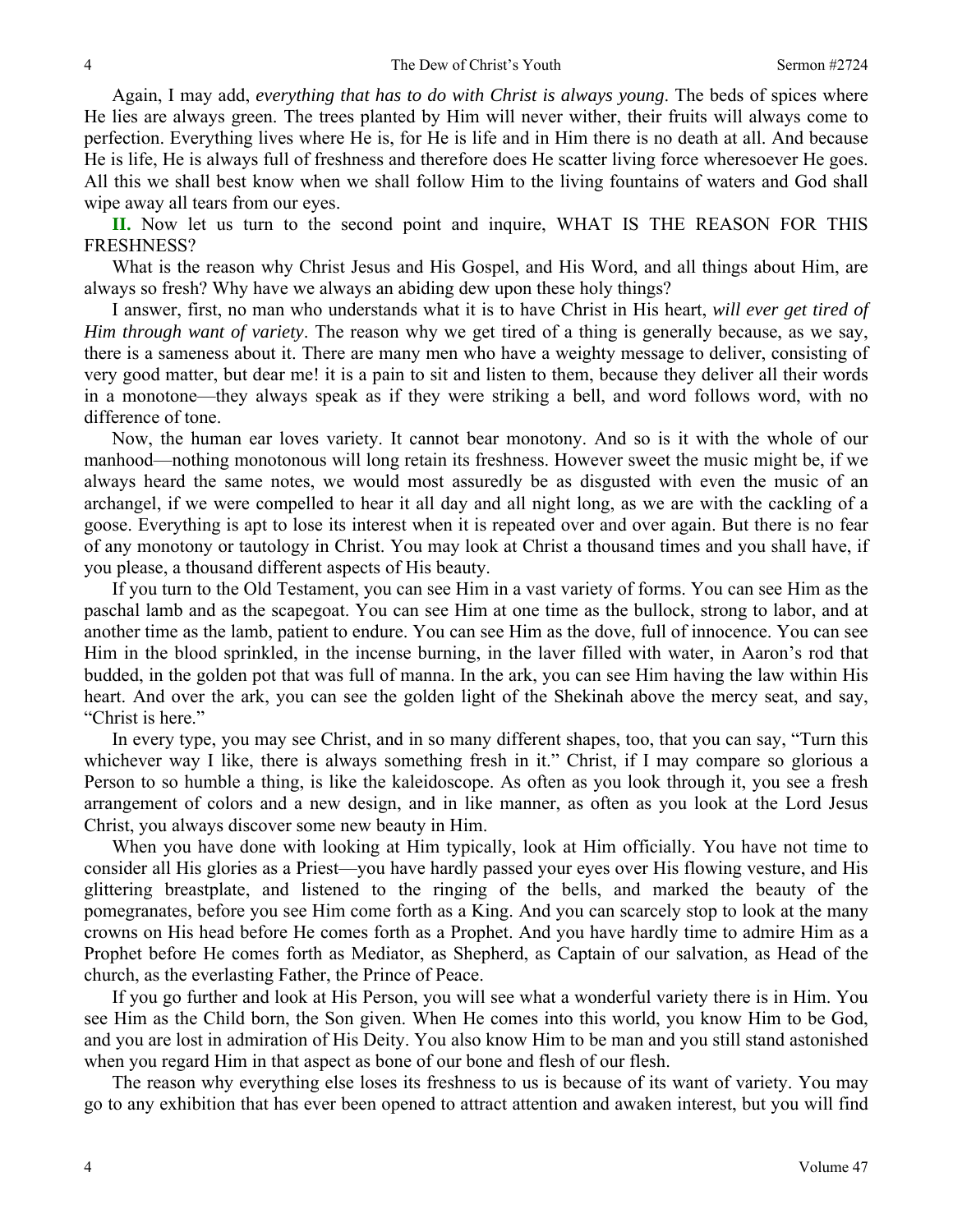Again, I may add, *everything that has to do with Christ is always young*. The beds of spices where He lies are always green. The trees planted by Him will never wither, their fruits will always come to perfection. Everything lives where He is, for He is life and in Him there is no death at all. And because He is life, He is always full of freshness and therefore does He scatter living force wheresoever He goes. All this we shall best know when we shall follow Him to the living fountains of waters and God shall wipe away all tears from our eyes.

**II.** Now let us turn to the second point and inquire, WHAT IS THE REASON FOR THIS FRESHNESS?

 What is the reason why Christ Jesus and His Gospel, and His Word, and all things about Him, are always so fresh? Why have we always an abiding dew upon these holy things?

 I answer, first, no man who understands what it is to have Christ in His heart, *will ever get tired of Him through want of variety*. The reason why we get tired of a thing is generally because, as we say, there is a sameness about it. There are many men who have a weighty message to deliver, consisting of very good matter, but dear me! it is a pain to sit and listen to them, because they deliver all their words in a monotone—they always speak as if they were striking a bell, and word follows word, with no difference of tone.

 Now, the human ear loves variety. It cannot bear monotony. And so is it with the whole of our manhood—nothing monotonous will long retain its freshness. However sweet the music might be, if we always heard the same notes, we would most assuredly be as disgusted with even the music of an archangel, if we were compelled to hear it all day and all night long, as we are with the cackling of a goose. Everything is apt to lose its interest when it is repeated over and over again. But there is no fear of any monotony or tautology in Christ. You may look at Christ a thousand times and you shall have, if you please, a thousand different aspects of His beauty.

 If you turn to the Old Testament, you can see Him in a vast variety of forms. You can see Him as the paschal lamb and as the scapegoat. You can see Him at one time as the bullock, strong to labor, and at another time as the lamb, patient to endure. You can see Him as the dove, full of innocence. You can see Him in the blood sprinkled, in the incense burning, in the laver filled with water, in Aaron's rod that budded, in the golden pot that was full of manna. In the ark, you can see Him having the law within His heart. And over the ark, you can see the golden light of the Shekinah above the mercy seat, and say, "Christ is here."

 In every type, you may see Christ, and in so many different shapes, too, that you can say, "Turn this whichever way I like, there is always something fresh in it." Christ, if I may compare so glorious a Person to so humble a thing, is like the kaleidoscope. As often as you look through it, you see a fresh arrangement of colors and a new design, and in like manner, as often as you look at the Lord Jesus Christ, you always discover some new beauty in Him.

 When you have done with looking at Him typically, look at Him officially. You have not time to consider all His glories as a Priest—you have hardly passed your eyes over His flowing vesture, and His glittering breastplate, and listened to the ringing of the bells, and marked the beauty of the pomegranates, before you see Him come forth as a King. And you can scarcely stop to look at the many crowns on His head before He comes forth as a Prophet. And you have hardly time to admire Him as a Prophet before He comes forth as Mediator, as Shepherd, as Captain of our salvation, as Head of the church, as the everlasting Father, the Prince of Peace.

 If you go further and look at His Person, you will see what a wonderful variety there is in Him. You see Him as the Child born, the Son given. When He comes into this world, you know Him to be God, and you are lost in admiration of His Deity. You also know Him to be man and you still stand astonished when you regard Him in that aspect as bone of our bone and flesh of our flesh.

 The reason why everything else loses its freshness to us is because of its want of variety. You may go to any exhibition that has ever been opened to attract attention and awaken interest, but you will find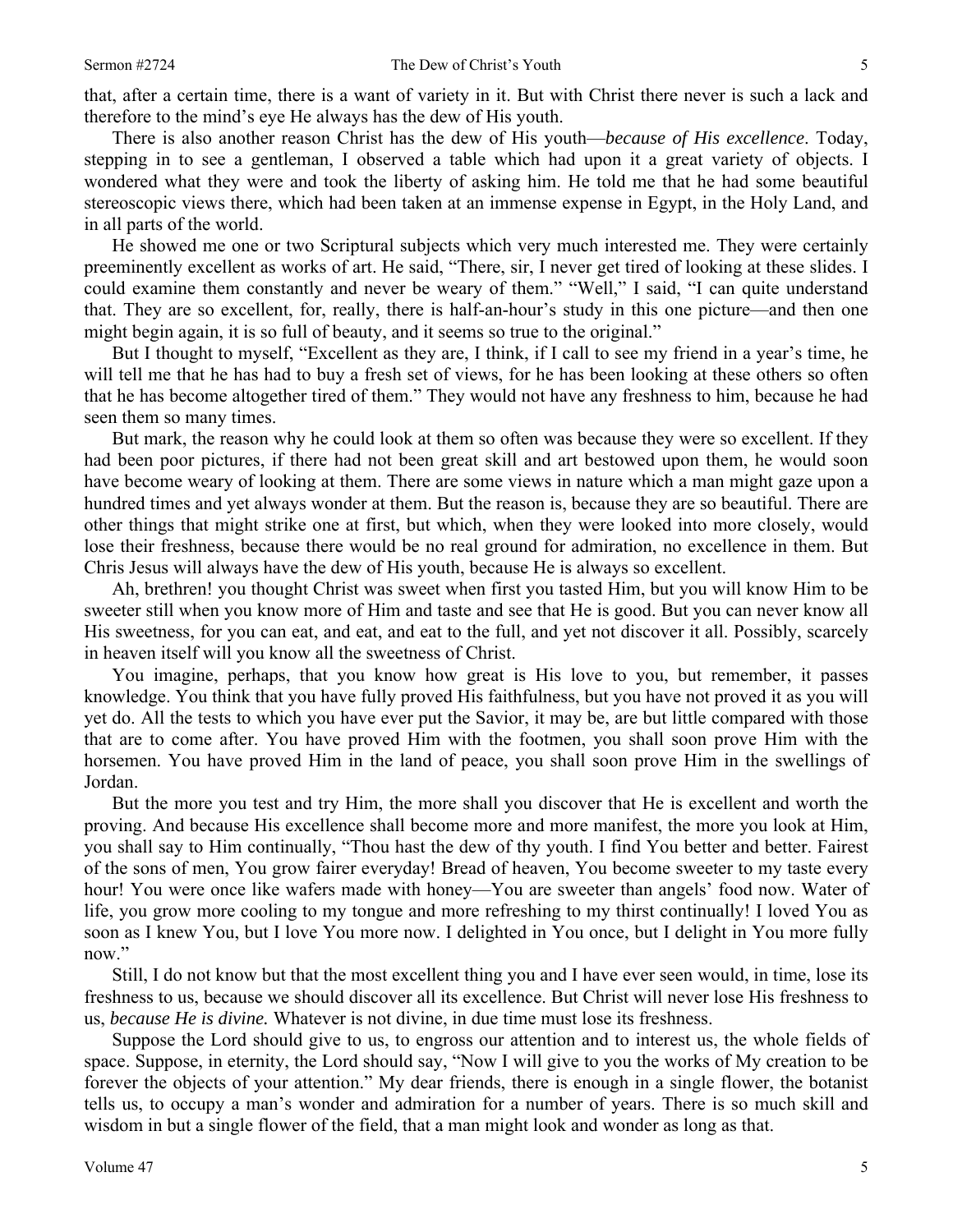that, after a certain time, there is a want of variety in it. But with Christ there never is such a lack and therefore to the mind's eye He always has the dew of His youth.

 There is also another reason Christ has the dew of His youth—*because of His excellence*. Today, stepping in to see a gentleman, I observed a table which had upon it a great variety of objects. I wondered what they were and took the liberty of asking him. He told me that he had some beautiful stereoscopic views there, which had been taken at an immense expense in Egypt, in the Holy Land, and in all parts of the world.

 He showed me one or two Scriptural subjects which very much interested me. They were certainly preeminently excellent as works of art. He said, "There, sir, I never get tired of looking at these slides. I could examine them constantly and never be weary of them." "Well," I said, "I can quite understand that. They are so excellent, for, really, there is half-an-hour's study in this one picture—and then one might begin again, it is so full of beauty, and it seems so true to the original."

 But I thought to myself, "Excellent as they are, I think, if I call to see my friend in a year's time, he will tell me that he has had to buy a fresh set of views, for he has been looking at these others so often that he has become altogether tired of them." They would not have any freshness to him, because he had seen them so many times.

 But mark, the reason why he could look at them so often was because they were so excellent. If they had been poor pictures, if there had not been great skill and art bestowed upon them, he would soon have become weary of looking at them. There are some views in nature which a man might gaze upon a hundred times and yet always wonder at them. But the reason is, because they are so beautiful. There are other things that might strike one at first, but which, when they were looked into more closely, would lose their freshness, because there would be no real ground for admiration, no excellence in them. But Chris Jesus will always have the dew of His youth, because He is always so excellent.

 Ah, brethren! you thought Christ was sweet when first you tasted Him, but you will know Him to be sweeter still when you know more of Him and taste and see that He is good. But you can never know all His sweetness, for you can eat, and eat, and eat to the full, and yet not discover it all. Possibly, scarcely in heaven itself will you know all the sweetness of Christ.

 You imagine, perhaps, that you know how great is His love to you, but remember, it passes knowledge. You think that you have fully proved His faithfulness, but you have not proved it as you will yet do. All the tests to which you have ever put the Savior, it may be, are but little compared with those that are to come after. You have proved Him with the footmen, you shall soon prove Him with the horsemen. You have proved Him in the land of peace, you shall soon prove Him in the swellings of Jordan.

 But the more you test and try Him, the more shall you discover that He is excellent and worth the proving. And because His excellence shall become more and more manifest, the more you look at Him, you shall say to Him continually, "Thou hast the dew of thy youth. I find You better and better. Fairest of the sons of men, You grow fairer everyday! Bread of heaven, You become sweeter to my taste every hour! You were once like wafers made with honey—You are sweeter than angels' food now. Water of life, you grow more cooling to my tongue and more refreshing to my thirst continually! I loved You as soon as I knew You, but I love You more now. I delighted in You once, but I delight in You more fully now."

 Still, I do not know but that the most excellent thing you and I have ever seen would, in time, lose its freshness to us, because we should discover all its excellence. But Christ will never lose His freshness to us, *because He is divine.* Whatever is not divine, in due time must lose its freshness.

 Suppose the Lord should give to us, to engross our attention and to interest us, the whole fields of space. Suppose, in eternity, the Lord should say, "Now I will give to you the works of My creation to be forever the objects of your attention." My dear friends, there is enough in a single flower, the botanist tells us, to occupy a man's wonder and admiration for a number of years. There is so much skill and wisdom in but a single flower of the field, that a man might look and wonder as long as that.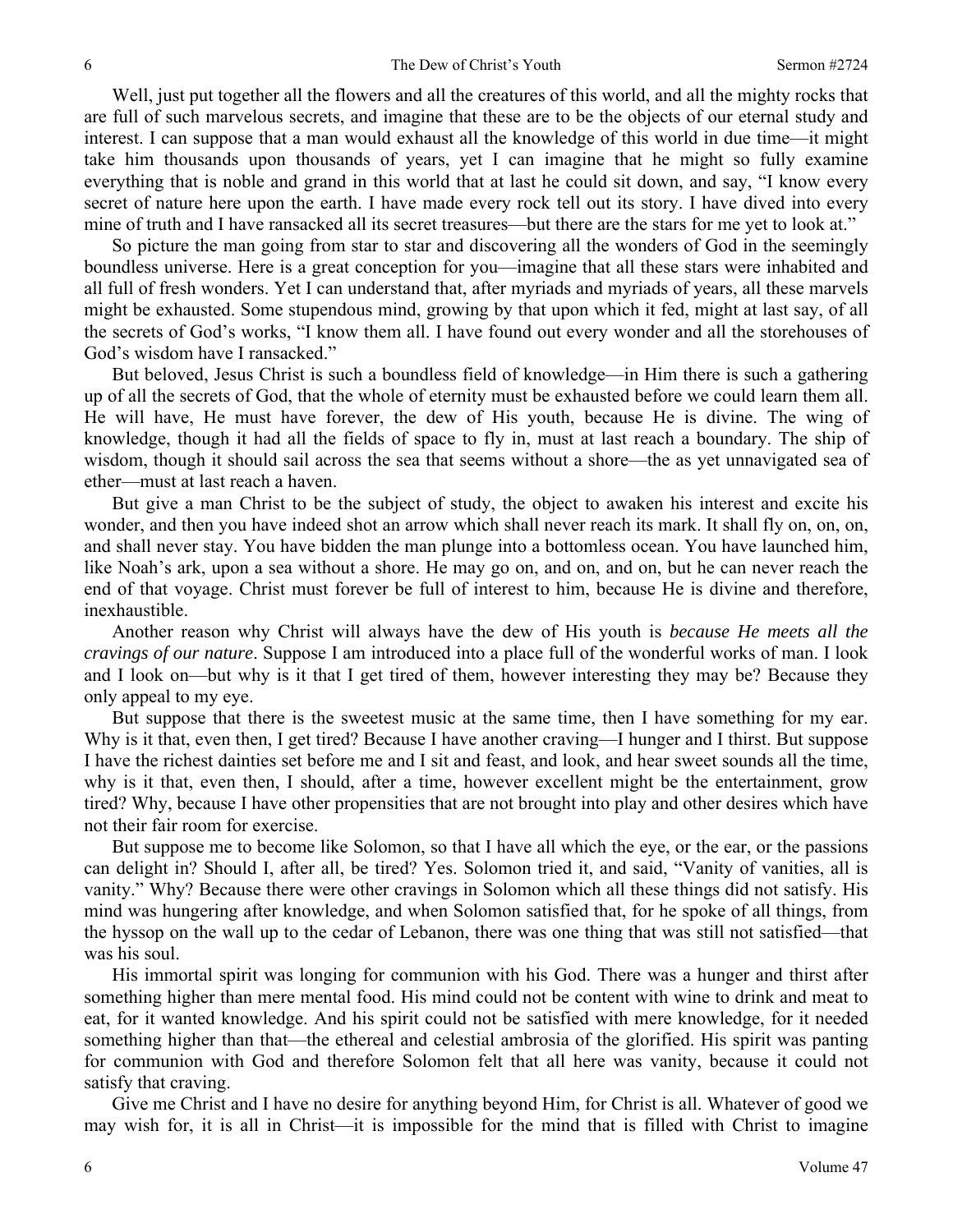Well, just put together all the flowers and all the creatures of this world, and all the mighty rocks that are full of such marvelous secrets, and imagine that these are to be the objects of our eternal study and interest. I can suppose that a man would exhaust all the knowledge of this world in due time—it might take him thousands upon thousands of years, yet I can imagine that he might so fully examine everything that is noble and grand in this world that at last he could sit down, and say, "I know every secret of nature here upon the earth. I have made every rock tell out its story. I have dived into every mine of truth and I have ransacked all its secret treasures—but there are the stars for me yet to look at."

 So picture the man going from star to star and discovering all the wonders of God in the seemingly boundless universe. Here is a great conception for you—imagine that all these stars were inhabited and all full of fresh wonders. Yet I can understand that, after myriads and myriads of years, all these marvels might be exhausted. Some stupendous mind, growing by that upon which it fed, might at last say, of all the secrets of God's works, "I know them all. I have found out every wonder and all the storehouses of God's wisdom have I ransacked."

 But beloved, Jesus Christ is such a boundless field of knowledge—in Him there is such a gathering up of all the secrets of God, that the whole of eternity must be exhausted before we could learn them all. He will have, He must have forever, the dew of His youth, because He is divine. The wing of knowledge, though it had all the fields of space to fly in, must at last reach a boundary. The ship of wisdom, though it should sail across the sea that seems without a shore—the as yet unnavigated sea of ether—must at last reach a haven.

 But give a man Christ to be the subject of study, the object to awaken his interest and excite his wonder, and then you have indeed shot an arrow which shall never reach its mark. It shall fly on, on, on, and shall never stay. You have bidden the man plunge into a bottomless ocean. You have launched him, like Noah's ark, upon a sea without a shore. He may go on, and on, and on, but he can never reach the end of that voyage. Christ must forever be full of interest to him, because He is divine and therefore, inexhaustible.

 Another reason why Christ will always have the dew of His youth is *because He meets all the cravings of our nature*. Suppose I am introduced into a place full of the wonderful works of man. I look and I look on—but why is it that I get tired of them, however interesting they may be? Because they only appeal to my eye.

 But suppose that there is the sweetest music at the same time, then I have something for my ear. Why is it that, even then, I get tired? Because I have another craving—I hunger and I thirst. But suppose I have the richest dainties set before me and I sit and feast, and look, and hear sweet sounds all the time, why is it that, even then, I should, after a time, however excellent might be the entertainment, grow tired? Why, because I have other propensities that are not brought into play and other desires which have not their fair room for exercise.

 But suppose me to become like Solomon, so that I have all which the eye, or the ear, or the passions can delight in? Should I, after all, be tired? Yes. Solomon tried it, and said, "Vanity of vanities, all is vanity." Why? Because there were other cravings in Solomon which all these things did not satisfy. His mind was hungering after knowledge, and when Solomon satisfied that, for he spoke of all things, from the hyssop on the wall up to the cedar of Lebanon, there was one thing that was still not satisfied—that was his soul.

 His immortal spirit was longing for communion with his God. There was a hunger and thirst after something higher than mere mental food. His mind could not be content with wine to drink and meat to eat, for it wanted knowledge. And his spirit could not be satisfied with mere knowledge, for it needed something higher than that—the ethereal and celestial ambrosia of the glorified. His spirit was panting for communion with God and therefore Solomon felt that all here was vanity, because it could not satisfy that craving.

Give me Christ and I have no desire for anything beyond Him, for Christ is all. Whatever of good we may wish for, it is all in Christ—it is impossible for the mind that is filled with Christ to imagine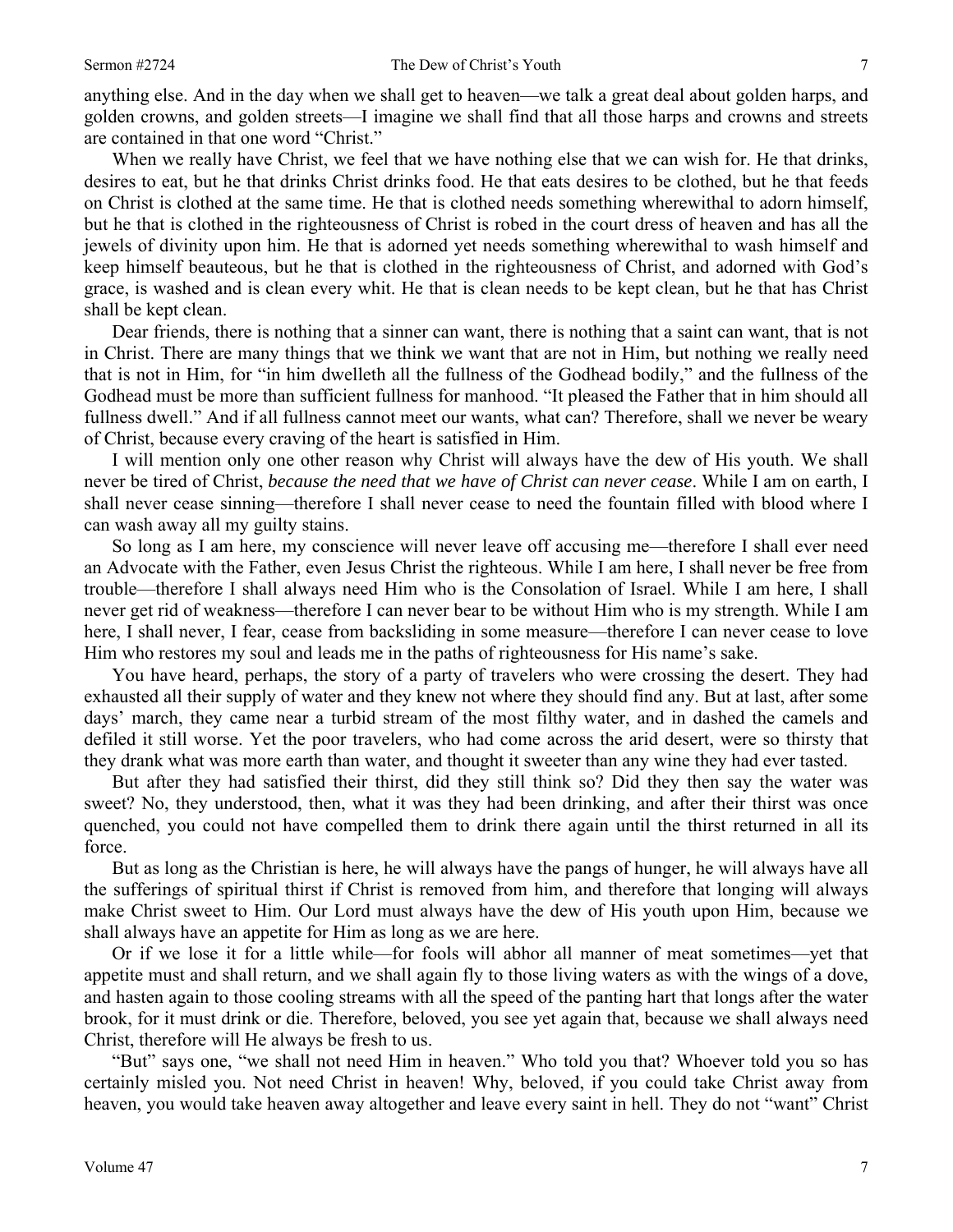anything else. And in the day when we shall get to heaven—we talk a great deal about golden harps, and golden crowns, and golden streets—I imagine we shall find that all those harps and crowns and streets are contained in that one word "Christ."

 When we really have Christ, we feel that we have nothing else that we can wish for. He that drinks, desires to eat, but he that drinks Christ drinks food. He that eats desires to be clothed, but he that feeds on Christ is clothed at the same time. He that is clothed needs something wherewithal to adorn himself, but he that is clothed in the righteousness of Christ is robed in the court dress of heaven and has all the jewels of divinity upon him. He that is adorned yet needs something wherewithal to wash himself and keep himself beauteous, but he that is clothed in the righteousness of Christ, and adorned with God's grace, is washed and is clean every whit. He that is clean needs to be kept clean, but he that has Christ shall be kept clean.

 Dear friends, there is nothing that a sinner can want, there is nothing that a saint can want, that is not in Christ. There are many things that we think we want that are not in Him, but nothing we really need that is not in Him, for "in him dwelleth all the fullness of the Godhead bodily," and the fullness of the Godhead must be more than sufficient fullness for manhood. "It pleased the Father that in him should all fullness dwell." And if all fullness cannot meet our wants, what can? Therefore, shall we never be weary of Christ, because every craving of the heart is satisfied in Him.

 I will mention only one other reason why Christ will always have the dew of His youth. We shall never be tired of Christ, *because the need that we have of Christ can never cease*. While I am on earth, I shall never cease sinning—therefore I shall never cease to need the fountain filled with blood where I can wash away all my guilty stains.

 So long as I am here, my conscience will never leave off accusing me—therefore I shall ever need an Advocate with the Father, even Jesus Christ the righteous. While I am here, I shall never be free from trouble—therefore I shall always need Him who is the Consolation of Israel. While I am here, I shall never get rid of weakness—therefore I can never bear to be without Him who is my strength. While I am here, I shall never, I fear, cease from backsliding in some measure—therefore I can never cease to love Him who restores my soul and leads me in the paths of righteousness for His name's sake.

 You have heard, perhaps, the story of a party of travelers who were crossing the desert. They had exhausted all their supply of water and they knew not where they should find any. But at last, after some days' march, they came near a turbid stream of the most filthy water, and in dashed the camels and defiled it still worse. Yet the poor travelers, who had come across the arid desert, were so thirsty that they drank what was more earth than water, and thought it sweeter than any wine they had ever tasted.

 But after they had satisfied their thirst, did they still think so? Did they then say the water was sweet? No, they understood, then, what it was they had been drinking, and after their thirst was once quenched, you could not have compelled them to drink there again until the thirst returned in all its force.

 But as long as the Christian is here, he will always have the pangs of hunger, he will always have all the sufferings of spiritual thirst if Christ is removed from him, and therefore that longing will always make Christ sweet to Him. Our Lord must always have the dew of His youth upon Him, because we shall always have an appetite for Him as long as we are here.

 Or if we lose it for a little while—for fools will abhor all manner of meat sometimes—yet that appetite must and shall return, and we shall again fly to those living waters as with the wings of a dove, and hasten again to those cooling streams with all the speed of the panting hart that longs after the water brook, for it must drink or die. Therefore, beloved, you see yet again that, because we shall always need Christ, therefore will He always be fresh to us.

 "But" says one, "we shall not need Him in heaven." Who told you that? Whoever told you so has certainly misled you. Not need Christ in heaven! Why, beloved, if you could take Christ away from heaven, you would take heaven away altogether and leave every saint in hell. They do not "want" Christ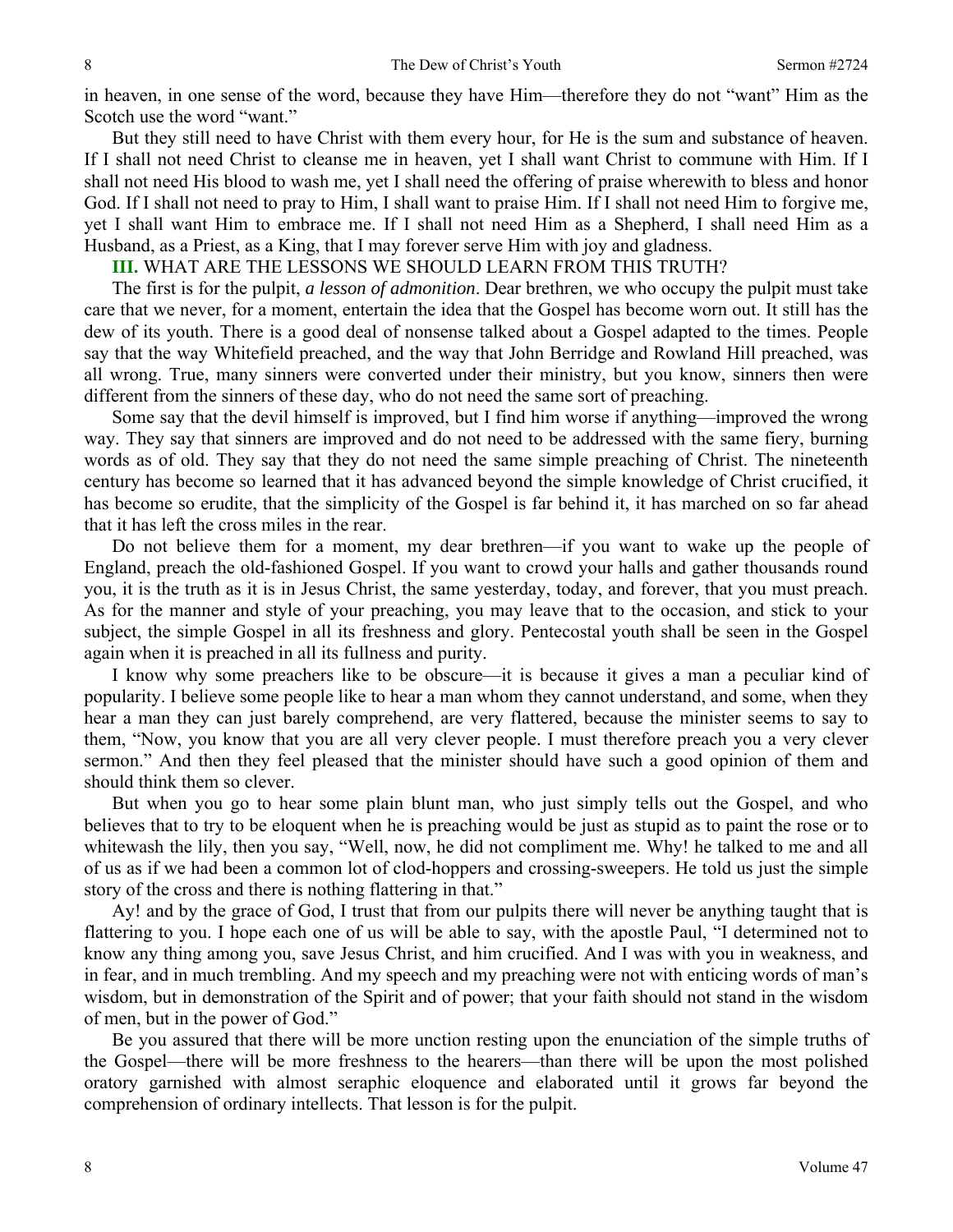in heaven, in one sense of the word, because they have Him—therefore they do not "want" Him as the Scotch use the word "want."

 But they still need to have Christ with them every hour, for He is the sum and substance of heaven. If I shall not need Christ to cleanse me in heaven, yet I shall want Christ to commune with Him. If I shall not need His blood to wash me, yet I shall need the offering of praise wherewith to bless and honor God. If I shall not need to pray to Him, I shall want to praise Him. If I shall not need Him to forgive me, yet I shall want Him to embrace me. If I shall not need Him as a Shepherd, I shall need Him as a Husband, as a Priest, as a King, that I may forever serve Him with joy and gladness.

**III.** WHAT ARE THE LESSONS WE SHOULD LEARN FROM THIS TRUTH?

 The first is for the pulpit, *a lesson of admonition*. Dear brethren, we who occupy the pulpit must take care that we never, for a moment, entertain the idea that the Gospel has become worn out. It still has the dew of its youth. There is a good deal of nonsense talked about a Gospel adapted to the times. People say that the way Whitefield preached, and the way that John Berridge and Rowland Hill preached, was all wrong. True, many sinners were converted under their ministry, but you know, sinners then were different from the sinners of these day, who do not need the same sort of preaching.

 Some say that the devil himself is improved, but I find him worse if anything—improved the wrong way. They say that sinners are improved and do not need to be addressed with the same fiery, burning words as of old. They say that they do not need the same simple preaching of Christ. The nineteenth century has become so learned that it has advanced beyond the simple knowledge of Christ crucified, it has become so erudite, that the simplicity of the Gospel is far behind it, it has marched on so far ahead that it has left the cross miles in the rear.

 Do not believe them for a moment, my dear brethren—if you want to wake up the people of England, preach the old-fashioned Gospel. If you want to crowd your halls and gather thousands round you, it is the truth as it is in Jesus Christ, the same yesterday, today, and forever, that you must preach. As for the manner and style of your preaching, you may leave that to the occasion, and stick to your subject, the simple Gospel in all its freshness and glory. Pentecostal youth shall be seen in the Gospel again when it is preached in all its fullness and purity.

 I know why some preachers like to be obscure—it is because it gives a man a peculiar kind of popularity. I believe some people like to hear a man whom they cannot understand, and some, when they hear a man they can just barely comprehend, are very flattered, because the minister seems to say to them, "Now, you know that you are all very clever people. I must therefore preach you a very clever sermon." And then they feel pleased that the minister should have such a good opinion of them and should think them so clever.

 But when you go to hear some plain blunt man, who just simply tells out the Gospel, and who believes that to try to be eloquent when he is preaching would be just as stupid as to paint the rose or to whitewash the lily, then you say, "Well, now, he did not compliment me. Why! he talked to me and all of us as if we had been a common lot of clod-hoppers and crossing-sweepers. He told us just the simple story of the cross and there is nothing flattering in that."

 Ay! and by the grace of God, I trust that from our pulpits there will never be anything taught that is flattering to you. I hope each one of us will be able to say, with the apostle Paul, "I determined not to know any thing among you, save Jesus Christ, and him crucified. And I was with you in weakness, and in fear, and in much trembling. And my speech and my preaching were not with enticing words of man's wisdom, but in demonstration of the Spirit and of power; that your faith should not stand in the wisdom of men, but in the power of God."

 Be you assured that there will be more unction resting upon the enunciation of the simple truths of the Gospel—there will be more freshness to the hearers—than there will be upon the most polished oratory garnished with almost seraphic eloquence and elaborated until it grows far beyond the comprehension of ordinary intellects. That lesson is for the pulpit.